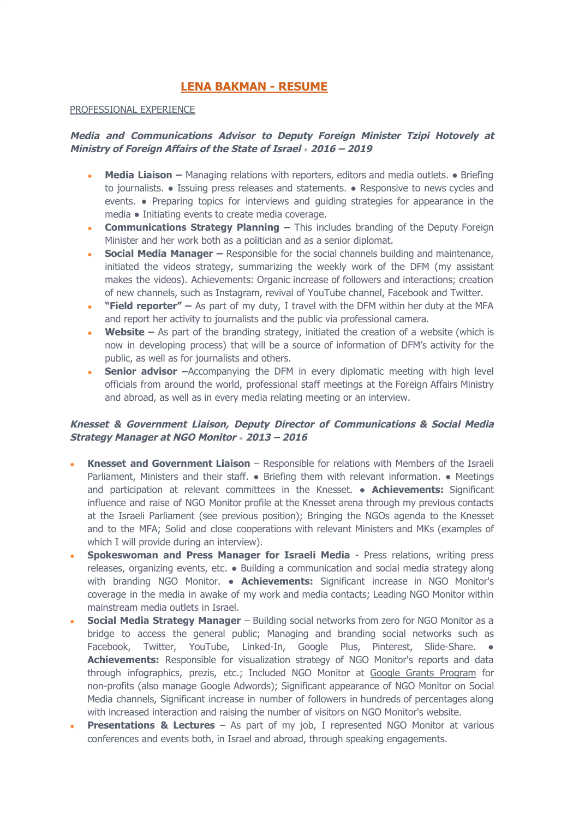# **[LENA BAKMAN - RESUME](http://www.lenabakman.com/)**

### PROFESSIONAL EXPERIENCE

# **Media and Communications Advisor to Deputy Foreign Minister Tzipi Hotovely at Ministry of Foreign Affairs of the State of Israel** *●* **2016 – 2019**

- **● Media Liaison –** Managing relations with reporters, editors and media outlets. Briefing to journalists. ● Issuing press releases and statements. ● Responsive to news cycles and events. ● Preparing topics for interviews and guiding strategies for appearance in the media ● Initiating events to create media coverage.
- **Communications Strategy Planning –** This includes branding of the Deputy Foreign Minister and her work both as a politician and as a senior diplomat.
- **Social Media Manager** Responsible for the social channels building and maintenance, initiated the videos strategy, summarizing the weekly work of the DFM (my assistant makes the videos). Achievements: Organic increase of followers and interactions; creation of new channels, such as Instagram, revival of YouTube channel, Facebook and Twitter.
- **"Field reporter" –** As part of my duty, I travel with the DFM within her duty at the MFA and report her activity to journalists and the public via professional camera.
- **Website** As part of the branding strategy, initiated the creation of a website (which is now in developing process) that will be a source of information of DFM's activity for the public, as well as for journalists and others.
- **Senior advisor**  $-A$ ccompanying the DFM in every diplomatic meeting with high level officials from around the world, professional staff meetings at the Foreign Affairs Ministry and abroad, as well as in every media relating meeting or an interview.

# **Knesset & Government Liaison, Deputy Director of Communications & Social Media Strategy Manager at NGO Monitor** *●* **2013 – 2016**

- **Knesset and Government Liaison** Responsible for relations with Members of the Israeli Parliament, Ministers and their staff. • Briefing them with relevant information. • Meetings and participation at relevant committees in the Knesset. ● **Achievements:** Significant influence and raise of NGO Monitor profile at the Knesset arena through my previous contacts at the Israeli Parliament (see previous position); Bringing the NGOs agenda to the Knesset and to the MFA; Solid and close cooperations with relevant Ministers and MKs (examples of which I will provide during an interview).
- **Spokeswoman and Press Manager for Israeli Media** Press relations, writing press releases, organizing events, etc. ● Building a communication and social media strategy along with branding NGO Monitor. ● **Achievements:** Significant increase in NGO Monitor's coverage in the media in awake of my work and media contacts; Leading NGO Monitor within mainstream media outlets in Israel.
- **Social Media Strategy Manager** Building social networks from zero for NGO Monitor as a bridge to access the general public; Managing and branding social networks such as Facebook, Twitter, YouTube, Linked-In, Google Plus, Pinterest, Slide-Share. . **Achievements:** Responsible for visualization strategy of NGO Monitor's reports and data through infographics, prezis, etc.; Included NGO Monitor at Google Grants Program for non-profits (also manage Google Adwords); Significant appearance of NGO Monitor on Social Media channels, Significant increase in number of followers in hundreds of percentages along with increased interaction and raising the number of visitors on NGO Monitor's website.
- **Presentations & Lectures** As part of my job, I represented NGO Monitor at various conferences and events both, in Israel and abroad, through speaking engagements.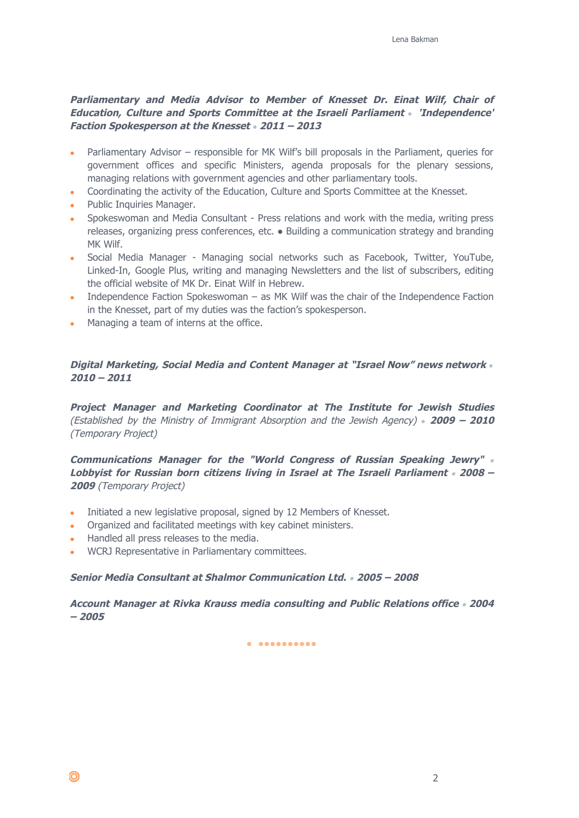# **Parliamentary and Media Advisor to Member of Knesset Dr. Einat Wilf, Chair of Education, Culture and Sports Committee at the Israeli Parliament** *●* **'Independence' Faction Spokesperson at the Knesset** *●* **2011 – 2013**

- Parliamentary Advisor responsible for MK Wilf's bill proposals in the Parliament, queries for government offices and specific Ministers, agenda proposals for the plenary sessions, managing relations with government agencies and other parliamentary tools.
- Coordinating the activity of the Education, Culture and Sports Committee at the Knesset.
- Public Inquiries Manager.
- Spokeswoman and Media Consultant Press relations and work with the media, writing press releases, organizing press conferences, etc. ● Building a communication strategy and branding MK Wilf.
- Social Media Manager Managing social networks such as Facebook, Twitter, YouTube, Linked-In, Google Plus, writing and managing Newsletters and the list of subscribers, editing the official website of MK Dr. Einat Wilf in Hebrew.
- Independence Faction Spokeswoman as MK Wilf was the chair of the Independence Faction in the Knesset, part of my duties was the faction's spokesperson.
- Managing a team of interns at the office.

## **Digital Marketing, Social Media and Content Manager at "Israel Now" news network** *●* **2010 – 2011**

**Project Manager and Marketing Coordinator at The Institute for Jewish Studies** (Established by the Ministry of Immigrant Absorption and the Jewish Agency) *●* **2009 – 2010** (Temporary Project)

**Communications Manager for the "World Congress of Russian Speaking Jewry"** ● **Lobbyist for Russian born citizens living in Israel at The Israeli Parliament** ● **2008 – 2009** (Temporary Project)

- Initiated a new legislative proposal, signed by 12 Members of Knesset.
- Organized and facilitated meetings with key cabinet ministers.
- Handled all press releases to the media.
- WCRJ Representative in Parliamentary committees.

### **Senior Media Consultant at Shalmor Communication Ltd.** ● **2005 – 2008**

**Account Manager at Rivka Krauss media consulting and Public Relations office** ● **2004 – 2005**

● ●●●●●●●●●●